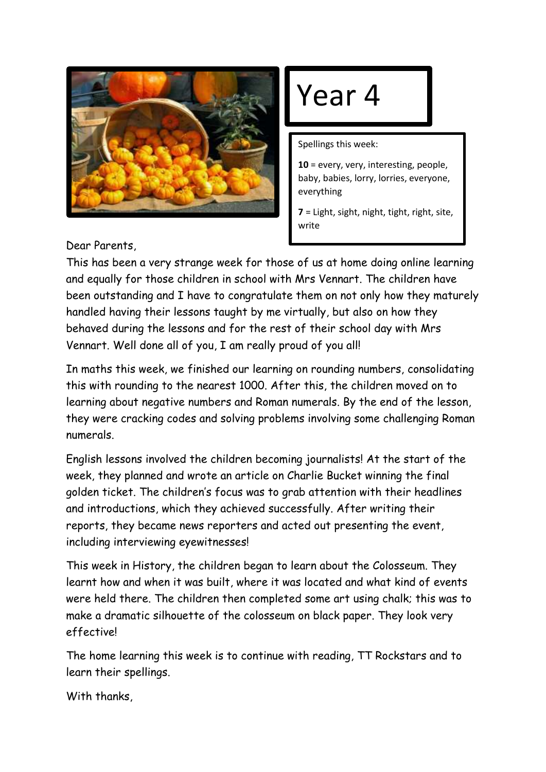

## Year 4

Spellings this week:

**10** = every, very, interesting, people, baby, babies, lorry, lorries, everyone, everything

**7** = Light, sight, night, tight, right, site, write

Dear Parents,

This has been a very strange week for those of us at home doing online learning and equally for those children in school with Mrs Vennart. The children have been outstanding and I have to congratulate them on not only how they maturely handled having their lessons taught by me virtually, but also on how they behaved during the lessons and for the rest of their school day with Mrs Vennart. Well done all of you, I am really proud of you all!

In maths this week, we finished our learning on rounding numbers, consolidating this with rounding to the nearest 1000. After this, the children moved on to learning about negative numbers and Roman numerals. By the end of the lesson, they were cracking codes and solving problems involving some challenging Roman numerals.

English lessons involved the children becoming journalists! At the start of the week, they planned and wrote an article on Charlie Bucket winning the final golden ticket. The children's focus was to grab attention with their headlines and introductions, which they achieved successfully. After writing their reports, they became news reporters and acted out presenting the event, including interviewing eyewitnesses!

This week in History, the children began to learn about the Colosseum. They learnt how and when it was built, where it was located and what kind of events were held there. The children then completed some art using chalk; this was to make a dramatic silhouette of the colosseum on black paper. They look very effective!

The home learning this week is to continue with reading, TT Rockstars and to learn their spellings.

With thanks,